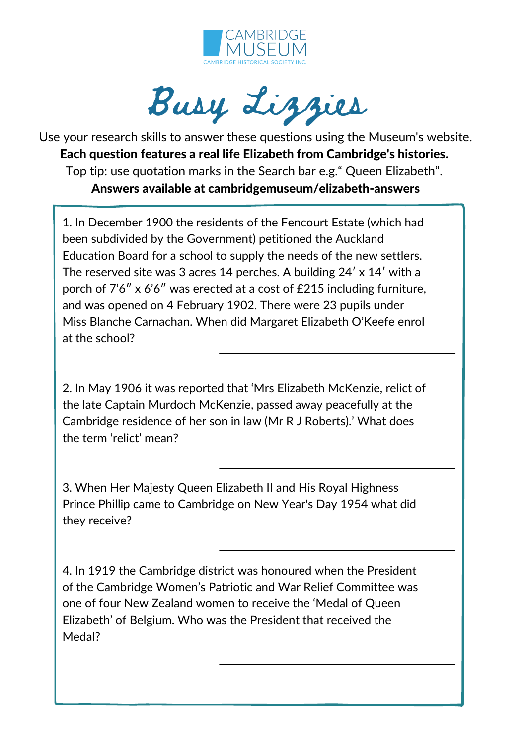

Busy Lizzies

Use your research skills to answer these questions using the Museum's website. Each question features a real life Elizabeth from Cambridge's histories. Top tip: use quotation marks in the Search bar e.g." Queen Elizabeth". Answers available at cambridgemuseum/elizabeth-answers

1. In December 1900 the residents of the Fencourt Estate (which had been subdivided by the Government) petitioned the Auckland Education Board for a school to supply the needs of the new settlers. The reserved site was 3 acres 14 perches. A building 24ʹ x 14ʹ with a porch of 7'6" x 6'6" was erected at a cost of £215 including furniture, and was opened on 4 February 1902. There were 23 pupils under Miss Blanche Carnachan. When did Margaret Elizabeth O'Keefe enrol at the school?

2. In May 1906 it was reported that 'Mrs Elizabeth McKenzie, relict of the late Captain Murdoch McKenzie, passed away peacefully at the Cambridge residence of her son in law (Mr R J Roberts).' What does the term 'relict' mean?

3. When Her Majesty Queen Elizabeth II and His Royal Highness Prince Phillip came to Cambridge on New Year's Day 1954 what did they receive?

4. In 1919 the Cambridge district was honoured when the President of the Cambridge Women's Patriotic and War Relief Committee was one of four New Zealand women to receive the 'Medal of Queen Elizabeth' of Belgium. Who was the President that received the Medal?